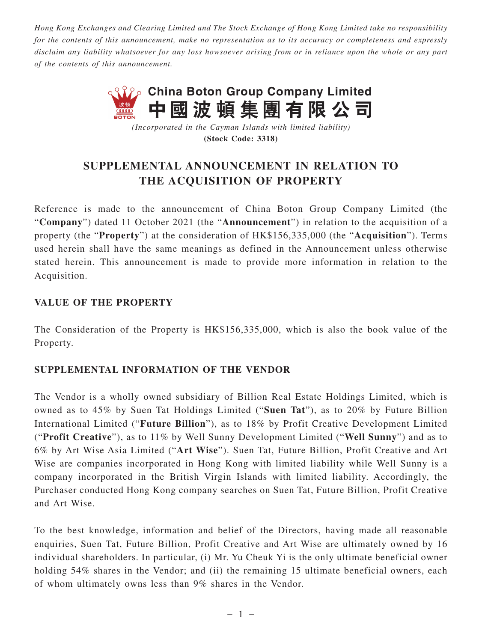*Hong Kong Exchanges and Clearing Limited and The Stock Exchange of Hong Kong Limited take no responsibility for the contents of this announcement, make no representation as to its accuracy or completeness and expressly disclaim any liability whatsoever for any loss howsoever arising from or in reliance upon the whole or any part of the contents of this announcement.*



*(Incorporated in the Cayman Islands with limited liability)* **(Stock Code: 3318)**

## **SUPPLEMENTAL ANNOUNCEMENT IN RELATION TO THE ACQUISITION OF PROPERTY**

Reference is made to the announcement of China Boton Group Company Limited (the "**Company**") dated 11 October 2021 (the "**Announcement**") in relation to the acquisition of a property (the "**Property**") at the consideration of HK\$156,335,000 (the "**Acquisition**"). Terms used herein shall have the same meanings as defined in the Announcement unless otherwise stated herein. This announcement is made to provide more information in relation to the Acquisition.

## **VALUE OF THE PROPERTY**

The Consideration of the Property is HK\$156,335,000, which is also the book value of the Property.

## **SUPPLEMENTAL INFORMATION OF THE VENDOR**

The Vendor is a wholly owned subsidiary of Billion Real Estate Holdings Limited, which is owned as to 45% by Suen Tat Holdings Limited ("**Suen Tat**"), as to 20% by Future Billion International Limited ("**Future Billion**"), as to 18% by Profit Creative Development Limited ("**Profit Creative**"), as to 11% by Well Sunny Development Limited ("**Well Sunny**") and as to 6% by Art Wise Asia Limited ("**Art Wise**"). Suen Tat, Future Billion, Profit Creative and Art Wise are companies incorporated in Hong Kong with limited liability while Well Sunny is a company incorporated in the British Virgin Islands with limited liability. Accordingly, the Purchaser conducted Hong Kong company searches on Suen Tat, Future Billion, Profit Creative and Art Wise.

To the best knowledge, information and belief of the Directors, having made all reasonable enquiries, Suen Tat, Future Billion, Profit Creative and Art Wise are ultimately owned by 16 individual shareholders. In particular, (i) Mr. Yu Cheuk Yi is the only ultimate beneficial owner holding 54% shares in the Vendor; and (ii) the remaining 15 ultimate beneficial owners, each of whom ultimately owns less than 9% shares in the Vendor.